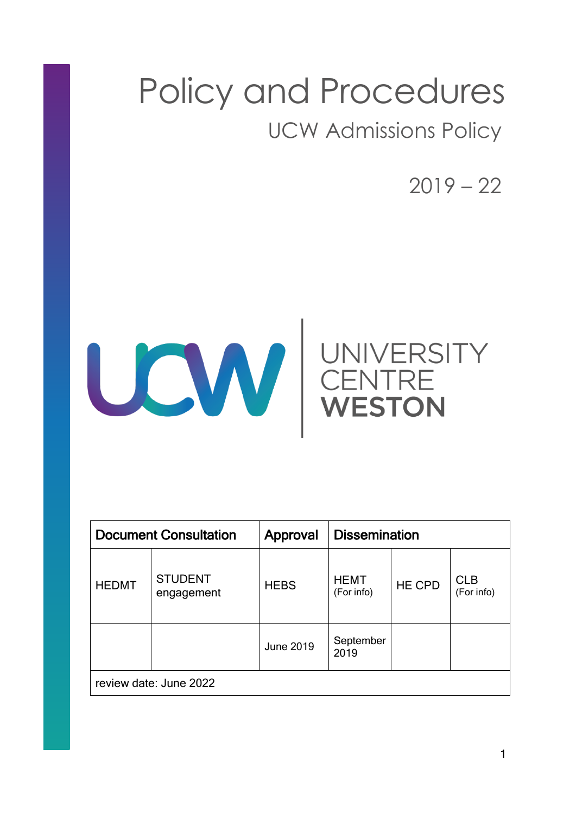## Policy and Procedures UCW Admissions Policy

 $2019 - 22$ 



| <b>Document Consultation</b> |                              | Approval         | <b>Dissemination</b>      |               |                          |
|------------------------------|------------------------------|------------------|---------------------------|---------------|--------------------------|
| <b>HEDMT</b>                 | <b>STUDENT</b><br>engagement | <b>HEBS</b>      | <b>HEMT</b><br>(For info) | <b>HE CPD</b> | <b>CLB</b><br>(For info) |
|                              |                              | <b>June 2019</b> | September<br>2019         |               |                          |
| review date: June 2022       |                              |                  |                           |               |                          |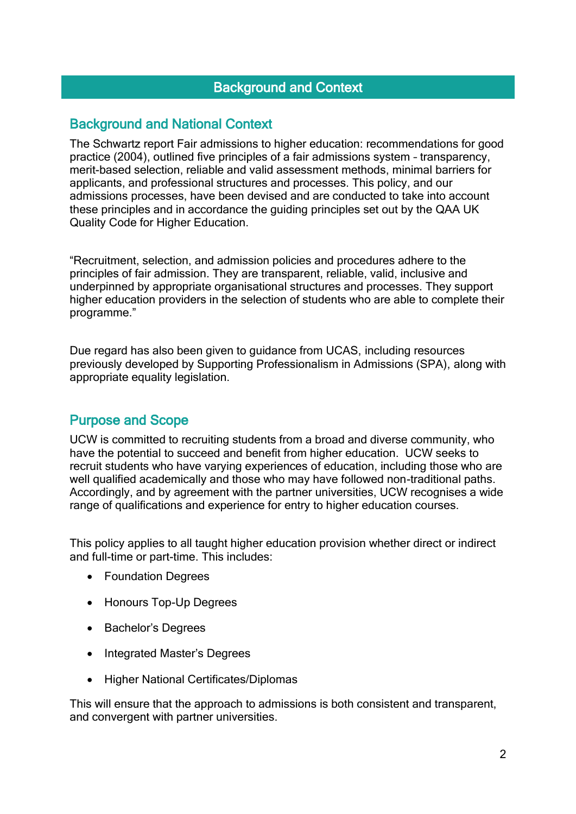## Background and Context

## Background and National Context

The Schwartz report Fair admissions to higher education: recommendations for good practice (2004), outlined five principles of a fair admissions system – transparency, merit-based selection, reliable and valid assessment methods, minimal barriers for applicants, and professional structures and processes. This policy, and our admissions processes, have been devised and are conducted to take into account these principles and in accordance the guiding principles set out by the QAA UK Quality Code for Higher Education.

"Recruitment, selection, and admission policies and procedures adhere to the principles of fair admission. They are transparent, reliable, valid, inclusive and underpinned by appropriate organisational structures and processes. They support higher education providers in the selection of students who are able to complete their programme."

Due regard has also been given to guidance from UCAS, including resources previously developed by Supporting Professionalism in Admissions (SPA), along with appropriate equality legislation.

## Purpose and Scope

UCW is committed to recruiting students from a broad and diverse community, who have the potential to succeed and benefit from higher education. UCW seeks to recruit students who have varying experiences of education, including those who are well qualified academically and those who may have followed non-traditional paths. Accordingly, and by agreement with the partner universities, UCW recognises a wide range of qualifications and experience for entry to higher education courses.

This policy applies to all taught higher education provision whether direct or indirect and full-time or part-time. This includes:

- Foundation Degrees
- Honours Top-Up Degrees
- Bachelor's Degrees
- Integrated Master's Degrees
- Higher National Certificates/Diplomas

This will ensure that the approach to admissions is both consistent and transparent, and convergent with partner universities.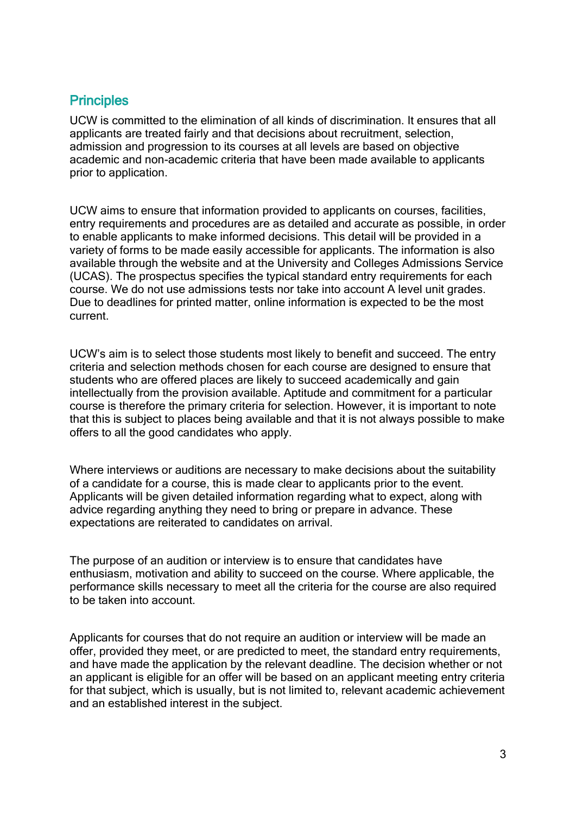## **Principles**

UCW is committed to the elimination of all kinds of discrimination. It ensures that all applicants are treated fairly and that decisions about recruitment, selection, admission and progression to its courses at all levels are based on objective academic and non-academic criteria that have been made available to applicants prior to application.

UCW aims to ensure that information provided to applicants on courses, facilities, entry requirements and procedures are as detailed and accurate as possible, in order to enable applicants to make informed decisions. This detail will be provided in a variety of forms to be made easily accessible for applicants. The information is also available through the website and at the University and Colleges Admissions Service (UCAS). The prospectus specifies the typical standard entry requirements for each course. We do not use admissions tests nor take into account A level unit grades. Due to deadlines for printed matter, online information is expected to be the most current.

UCW's aim is to select those students most likely to benefit and succeed. The entry criteria and selection methods chosen for each course are designed to ensure that students who are offered places are likely to succeed academically and gain intellectually from the provision available. Aptitude and commitment for a particular course is therefore the primary criteria for selection. However, it is important to note that this is subject to places being available and that it is not always possible to make offers to all the good candidates who apply.

Where interviews or auditions are necessary to make decisions about the suitability of a candidate for a course, this is made clear to applicants prior to the event. Applicants will be given detailed information regarding what to expect, along with advice regarding anything they need to bring or prepare in advance. These expectations are reiterated to candidates on arrival.

The purpose of an audition or interview is to ensure that candidates have enthusiasm, motivation and ability to succeed on the course. Where applicable, the performance skills necessary to meet all the criteria for the course are also required to be taken into account.

Applicants for courses that do not require an audition or interview will be made an offer, provided they meet, or are predicted to meet, the standard entry requirements, and have made the application by the relevant deadline. The decision whether or not an applicant is eligible for an offer will be based on an applicant meeting entry criteria for that subject, which is usually, but is not limited to, relevant academic achievement and an established interest in the subject.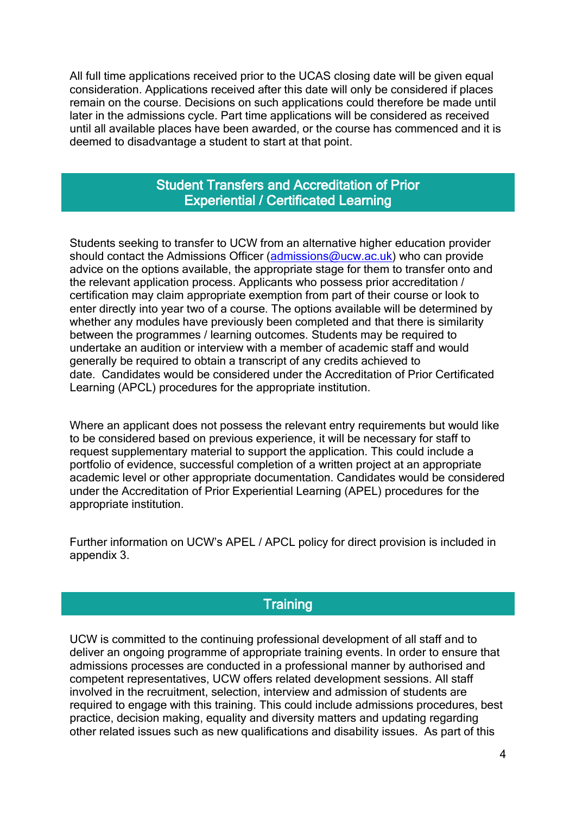All full time applications received prior to the UCAS closing date will be given equal consideration. Applications received after this date will only be considered if places remain on the course. Decisions on such applications could therefore be made until later in the admissions cycle. Part time applications will be considered as received until all available places have been awarded, or the course has commenced and it is deemed to disadvantage a student to start at that point.

## Student Transfers and Accreditation of Prior Experiential / Certificated Learning

Students seeking to transfer to UCW from an alternative higher education provider should contact the Admissions Officer [\(admissions@ucw.ac.uk\)](mailto:admissions@ucw.ac.uk) who can provide advice on the options available, the appropriate stage for them to transfer onto and the relevant application process. Applicants who possess prior accreditation / certification may claim appropriate exemption from part of their course or look to enter directly into year two of a course. The options available will be determined by whether any modules have previously been completed and that there is similarity between the programmes / learning outcomes. Students may be required to undertake an audition or interview with a member of academic staff and would generally be required to obtain a transcript of any credits achieved to date. Candidates would be considered under the Accreditation of Prior Certificated Learning (APCL) procedures for the appropriate institution.

Where an applicant does not possess the relevant entry requirements but would like to be considered based on previous experience, it will be necessary for staff to request supplementary material to support the application. This could include a portfolio of evidence, successful completion of a written project at an appropriate academic level or other appropriate documentation. Candidates would be considered under the Accreditation of Prior Experiential Learning (APEL) procedures for the appropriate institution.

Further information on UCW's APEL / APCL policy for direct provision is included in appendix 3.

## **Training**

UCW is committed to the continuing professional development of all staff and to deliver an ongoing programme of appropriate training events. In order to ensure that admissions processes are conducted in a professional manner by authorised and competent representatives, UCW offers related development sessions. All staff involved in the recruitment, selection, interview and admission of students are required to engage with this training. This could include admissions procedures, best practice, decision making, equality and diversity matters and updating regarding other related issues such as new qualifications and disability issues. As part of this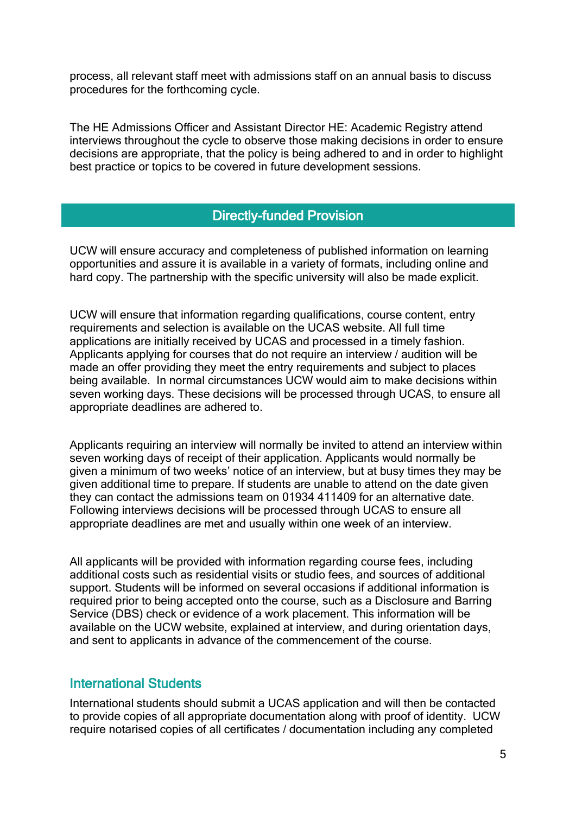process, all relevant staff meet with admissions staff on an annual basis to discuss procedures for the forthcoming cycle.

The HE Admissions Officer and Assistant Director HE: Academic Registry attend interviews throughout the cycle to observe those making decisions in order to ensure decisions are appropriate, that the policy is being adhered to and in order to highlight best practice or topics to be covered in future development sessions.

## Directly-funded Provision

UCW will ensure accuracy and completeness of published information on learning opportunities and assure it is available in a variety of formats, including online and hard copy. The partnership with the specific university will also be made explicit.

UCW will ensure that information regarding qualifications, course content, entry requirements and selection is available on the UCAS website. All full time applications are initially received by UCAS and processed in a timely fashion. Applicants applying for courses that do not require an interview / audition will be made an offer providing they meet the entry requirements and subject to places being available. In normal circumstances UCW would aim to make decisions within seven working days. These decisions will be processed through UCAS, to ensure all appropriate deadlines are adhered to.

Applicants requiring an interview will normally be invited to attend an interview within seven working days of receipt of their application. Applicants would normally be given a minimum of two weeks' notice of an interview, but at busy times they may be given additional time to prepare. If students are unable to attend on the date given they can contact the admissions team on 01934 411409 for an alternative date. Following interviews decisions will be processed through UCAS to ensure all appropriate deadlines are met and usually within one week of an interview.

All applicants will be provided with information regarding course fees, including additional costs such as residential visits or studio fees, and sources of additional support. Students will be informed on several occasions if additional information is required prior to being accepted onto the course, such as a Disclosure and Barring Service (DBS) check or evidence of a work placement. This information will be available on the UCW website, explained at interview, and during orientation days, and sent to applicants in advance of the commencement of the course.

## International Students

International students should submit a UCAS application and will then be contacted to provide copies of all appropriate documentation along with proof of identity. UCW require notarised copies of all certificates / documentation including any completed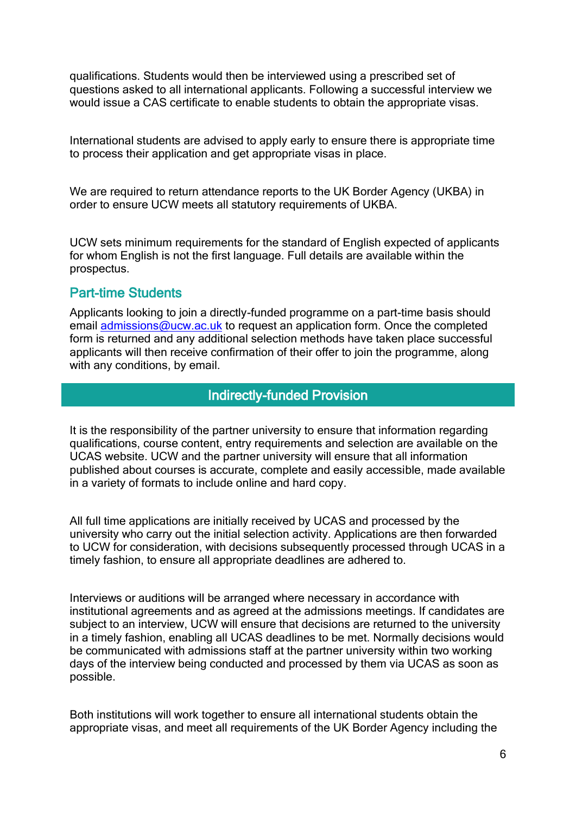qualifications. Students would then be interviewed using a prescribed set of questions asked to all international applicants. Following a successful interview we would issue a CAS certificate to enable students to obtain the appropriate visas.

International students are advised to apply early to ensure there is appropriate time to process their application and get appropriate visas in place.

We are required to return attendance reports to the UK Border Agency (UKBA) in order to ensure UCW meets all statutory requirements of UKBA.

UCW sets minimum requirements for the standard of English expected of applicants for whom English is not the first language. Full details are available within the prospectus.

## Part-time Students

Applicants looking to join a directly-funded programme on a part-time basis should email [admissions@ucw.ac.uk](mailto:admissions@ucw.ac.uk) to request an application form. Once the completed form is returned and any additional selection methods have taken place successful applicants will then receive confirmation of their offer to join the programme, along with any conditions, by email.

## Indirectly-funded Provision

It is the responsibility of the partner university to ensure that information regarding qualifications, course content, entry requirements and selection are available on the UCAS website. UCW and the partner university will ensure that all information published about courses is accurate, complete and easily accessible, made available in a variety of formats to include online and hard copy.

All full time applications are initially received by UCAS and processed by the university who carry out the initial selection activity. Applications are then forwarded to UCW for consideration, with decisions subsequently processed through UCAS in a timely fashion, to ensure all appropriate deadlines are adhered to.

Interviews or auditions will be arranged where necessary in accordance with institutional agreements and as agreed at the admissions meetings. If candidates are subject to an interview, UCW will ensure that decisions are returned to the university in a timely fashion, enabling all UCAS deadlines to be met. Normally decisions would be communicated with admissions staff at the partner university within two working days of the interview being conducted and processed by them via UCAS as soon as possible.

Both institutions will work together to ensure all international students obtain the appropriate visas, and meet all requirements of the UK Border Agency including the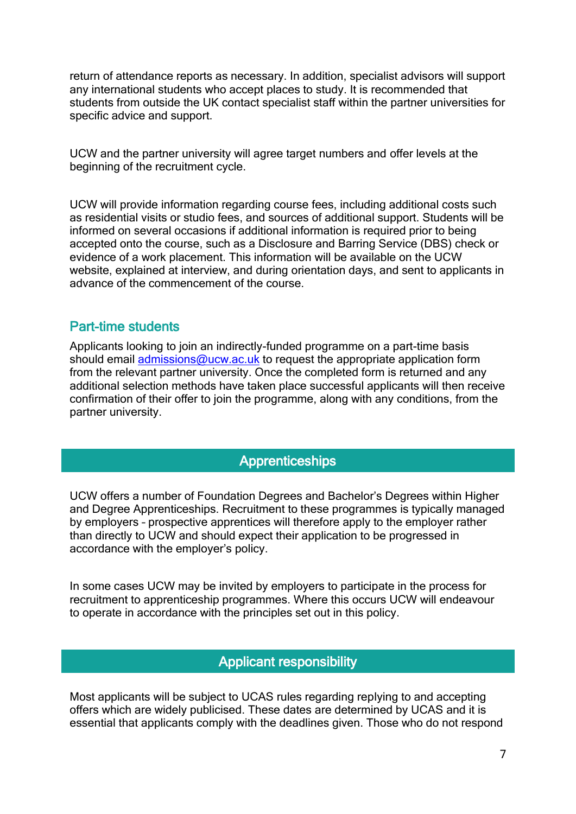return of attendance reports as necessary. In addition, specialist advisors will support any international students who accept places to study. It is recommended that students from outside the UK contact specialist staff within the partner universities for specific advice and support.

UCW and the partner university will agree target numbers and offer levels at the beginning of the recruitment cycle.

UCW will provide information regarding course fees, including additional costs such as residential visits or studio fees, and sources of additional support. Students will be informed on several occasions if additional information is required prior to being accepted onto the course, such as a Disclosure and Barring Service (DBS) check or evidence of a work placement. This information will be available on the UCW website, explained at interview, and during orientation days, and sent to applicants in advance of the commencement of the course.

## Part-time students

Applicants looking to join an indirectly-funded programme on a part-time basis should email [admissions@ucw.ac.uk](mailto:admissions@ucw.ac.uk) to request the appropriate application form from the relevant partner university. Once the completed form is returned and any additional selection methods have taken place successful applicants will then receive confirmation of their offer to join the programme, along with any conditions, from the partner university.

## Apprenticeships

UCW offers a number of Foundation Degrees and Bachelor's Degrees within Higher and Degree Apprenticeships. Recruitment to these programmes is typically managed by employers – prospective apprentices will therefore apply to the employer rather than directly to UCW and should expect their application to be progressed in accordance with the employer's policy.

In some cases UCW may be invited by employers to participate in the process for recruitment to apprenticeship programmes. Where this occurs UCW will endeavour to operate in accordance with the principles set out in this policy.

## Applicant responsibility

Most applicants will be subject to UCAS rules regarding replying to and accepting offers which are widely publicised. These dates are determined by UCAS and it is essential that applicants comply with the deadlines given. Those who do not respond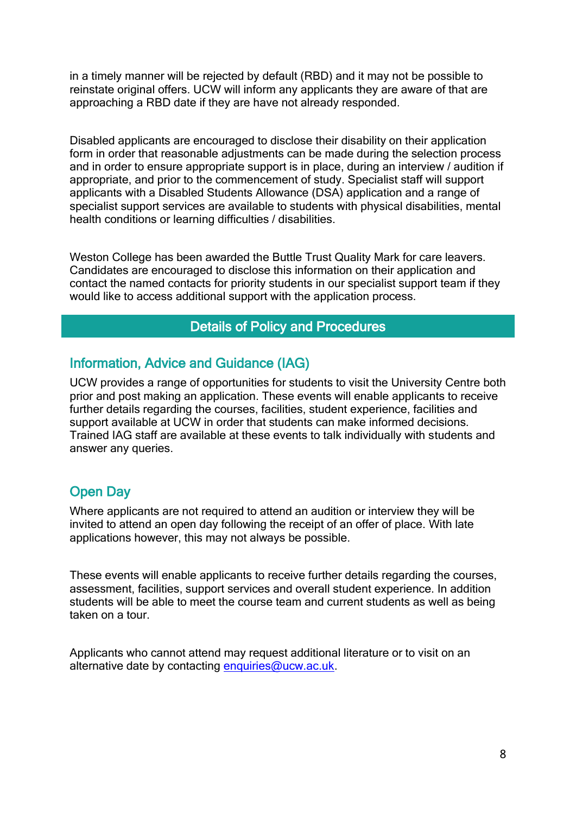in a timely manner will be rejected by default (RBD) and it may not be possible to reinstate original offers. UCW will inform any applicants they are aware of that are approaching a RBD date if they are have not already responded.

Disabled applicants are encouraged to disclose their disability on their application form in order that reasonable adjustments can be made during the selection process and in order to ensure appropriate support is in place, during an interview / audition if appropriate, and prior to the commencement of study. Specialist staff will support applicants with a Disabled Students Allowance (DSA) application and a range of specialist support services are available to students with physical disabilities, mental health conditions or learning difficulties / disabilities.

Weston College has been awarded the Buttle Trust Quality Mark for care leavers. Candidates are encouraged to disclose this information on their application and contact the named contacts for priority students in our specialist support team if they would like to access additional support with the application process.

## Details of Policy and Procedures

## Information, Advice and Guidance (IAG)

UCW provides a range of opportunities for students to visit the University Centre both prior and post making an application. These events will enable applicants to receive further details regarding the courses, facilities, student experience, facilities and support available at UCW in order that students can make informed decisions. Trained IAG staff are available at these events to talk individually with students and answer any queries.

## Open Day

Where applicants are not required to attend an audition or interview they will be invited to attend an open day following the receipt of an offer of place. With late applications however, this may not always be possible.

These events will enable applicants to receive further details regarding the courses, assessment, facilities, support services and overall student experience. In addition students will be able to meet the course team and current students as well as being taken on a tour.

Applicants who cannot attend may request additional literature or to visit on an alternative date by contacting [enquiries@ucw.ac.uk.](mailto:enquiries@ucw.ac.uk)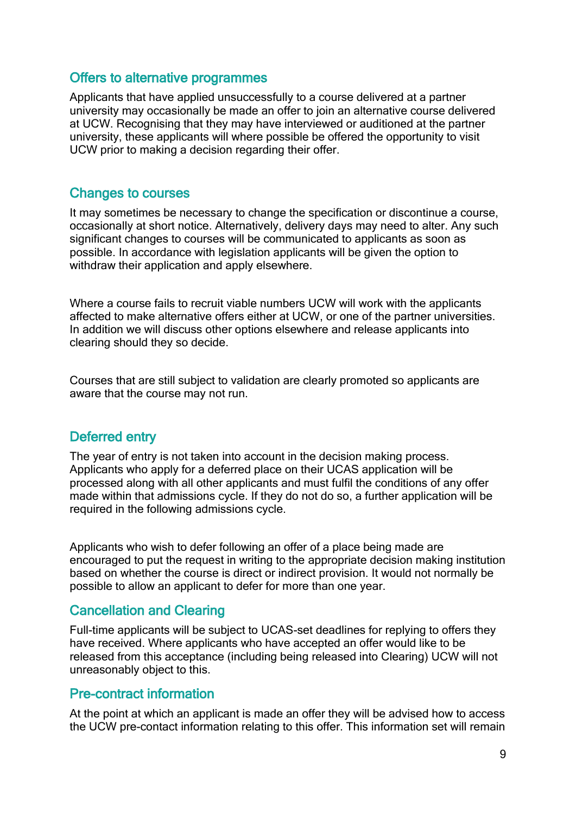## Offers to alternative programmes

Applicants that have applied unsuccessfully to a course delivered at a partner university may occasionally be made an offer to join an alternative course delivered at UCW. Recognising that they may have interviewed or auditioned at the partner university, these applicants will where possible be offered the opportunity to visit UCW prior to making a decision regarding their offer.

## Changes to courses

It may sometimes be necessary to change the specification or discontinue a course, occasionally at short notice. Alternatively, delivery days may need to alter. Any such significant changes to courses will be communicated to applicants as soon as possible. In accordance with legislation applicants will be given the option to withdraw their application and apply elsewhere.

Where a course fails to recruit viable numbers UCW will work with the applicants affected to make alternative offers either at UCW, or one of the partner universities. In addition we will discuss other options elsewhere and release applicants into clearing should they so decide.

Courses that are still subject to validation are clearly promoted so applicants are aware that the course may not run.

## Deferred entry

The year of entry is not taken into account in the decision making process. Applicants who apply for a deferred place on their UCAS application will be processed along with all other applicants and must fulfil the conditions of any offer made within that admissions cycle. If they do not do so, a further application will be required in the following admissions cycle.

Applicants who wish to defer following an offer of a place being made are encouraged to put the request in writing to the appropriate decision making institution based on whether the course is direct or indirect provision. It would not normally be possible to allow an applicant to defer for more than one year.

## Cancellation and Clearing

Full-time applicants will be subject to UCAS-set deadlines for replying to offers they have received. Where applicants who have accepted an offer would like to be released from this acceptance (including being released into Clearing) UCW will not unreasonably object to this.

### Pre-contract information

At the point at which an applicant is made an offer they will be advised how to access the UCW pre-contact information relating to this offer. This information set will remain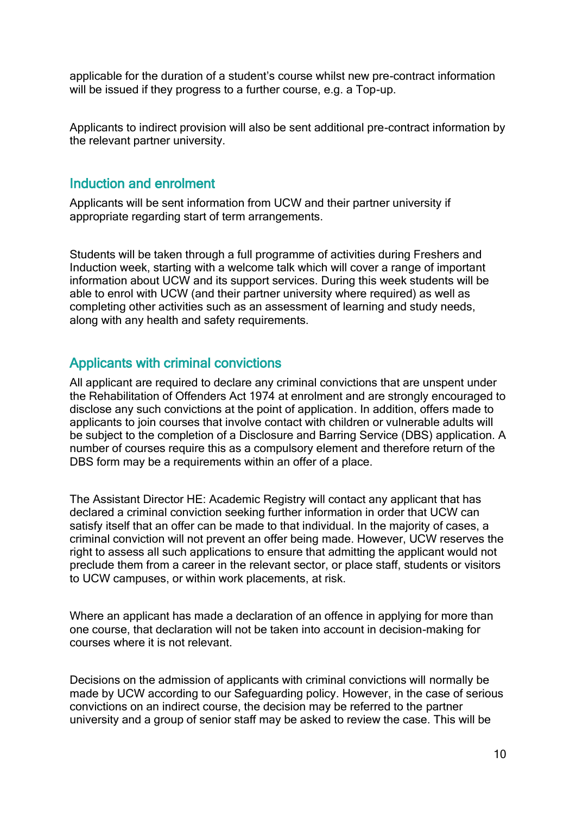applicable for the duration of a student's course whilst new pre-contract information will be issued if they progress to a further course, e.g. a Top-up.

Applicants to indirect provision will also be sent additional pre-contract information by the relevant partner university.

## Induction and enrolment

Applicants will be sent information from UCW and their partner university if appropriate regarding start of term arrangements.

Students will be taken through a full programme of activities during Freshers and Induction week, starting with a welcome talk which will cover a range of important information about UCW and its support services. During this week students will be able to enrol with UCW (and their partner university where required) as well as completing other activities such as an assessment of learning and study needs, along with any health and safety requirements.

## Applicants with criminal convictions

All applicant are required to declare any criminal convictions that are unspent under the Rehabilitation of Offenders Act 1974 at enrolment and are strongly encouraged to disclose any such convictions at the point of application. In addition, offers made to applicants to join courses that involve contact with children or vulnerable adults will be subject to the completion of a Disclosure and Barring Service (DBS) application. A number of courses require this as a compulsory element and therefore return of the DBS form may be a requirements within an offer of a place.

The Assistant Director HE: Academic Registry will contact any applicant that has declared a criminal conviction seeking further information in order that UCW can satisfy itself that an offer can be made to that individual. In the majority of cases, a criminal conviction will not prevent an offer being made. However, UCW reserves the right to assess all such applications to ensure that admitting the applicant would not preclude them from a career in the relevant sector, or place staff, students or visitors to UCW campuses, or within work placements, at risk.

Where an applicant has made a declaration of an offence in applying for more than one course, that declaration will not be taken into account in decision-making for courses where it is not relevant.

Decisions on the admission of applicants with criminal convictions will normally be made by UCW according to our Safeguarding policy. However, in the case of serious convictions on an indirect course, the decision may be referred to the partner university and a group of senior staff may be asked to review the case. This will be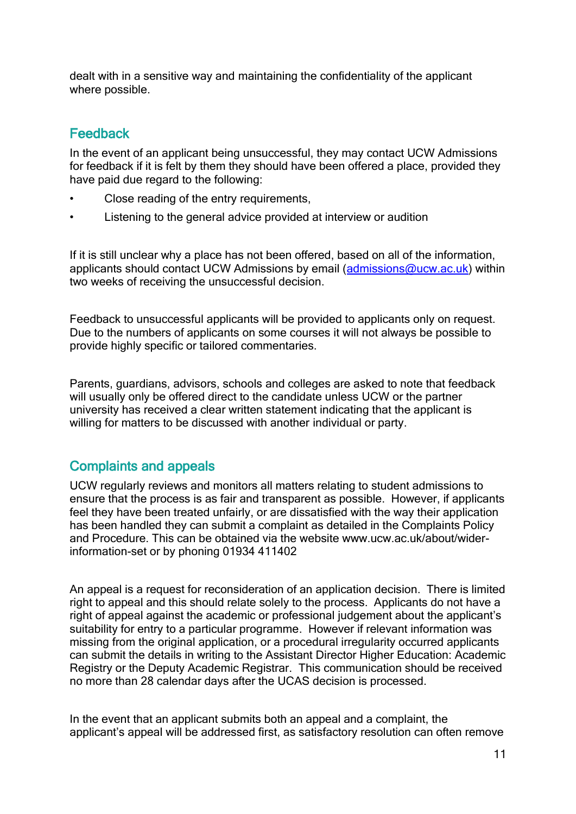dealt with in a sensitive way and maintaining the confidentiality of the applicant where possible.

## Feedback

In the event of an applicant being unsuccessful, they may contact UCW Admissions for feedback if it is felt by them they should have been offered a place, provided they have paid due regard to the following:

- Close reading of the entry requirements,
- Listening to the general advice provided at interview or audition

If it is still unclear why a place has not been offered, based on all of the information, applicants should contact UCW Admissions by email (admissions  $@uvw$ .ac.uk) within two weeks of receiving the unsuccessful decision.

Feedback to unsuccessful applicants will be provided to applicants only on request. Due to the numbers of applicants on some courses it will not always be possible to provide highly specific or tailored commentaries.

Parents, guardians, advisors, schools and colleges are asked to note that feedback will usually only be offered direct to the candidate unless UCW or the partner university has received a clear written statement indicating that the applicant is willing for matters to be discussed with another individual or party.

## Complaints and appeals

UCW regularly reviews and monitors all matters relating to student admissions to ensure that the process is as fair and transparent as possible. However, if applicants feel they have been treated unfairly, or are dissatisfied with the way their application has been handled they can submit a complaint as detailed in the Complaints Policy and Procedure. This can be obtained via the website www.ucw.ac.uk/about/widerinformation-set or by phoning 01934 411402

An appeal is a request for reconsideration of an application decision. There is limited right to appeal and this should relate solely to the process. Applicants do not have a right of appeal against the academic or professional judgement about the applicant's suitability for entry to a particular programme. However if relevant information was missing from the original application, or a procedural irregularity occurred applicants can submit the details in writing to the Assistant Director Higher Education: Academic Registry or the Deputy Academic Registrar. This communication should be received no more than 28 calendar days after the UCAS decision is processed.

In the event that an applicant submits both an appeal and a complaint, the applicant's appeal will be addressed first, as satisfactory resolution can often remove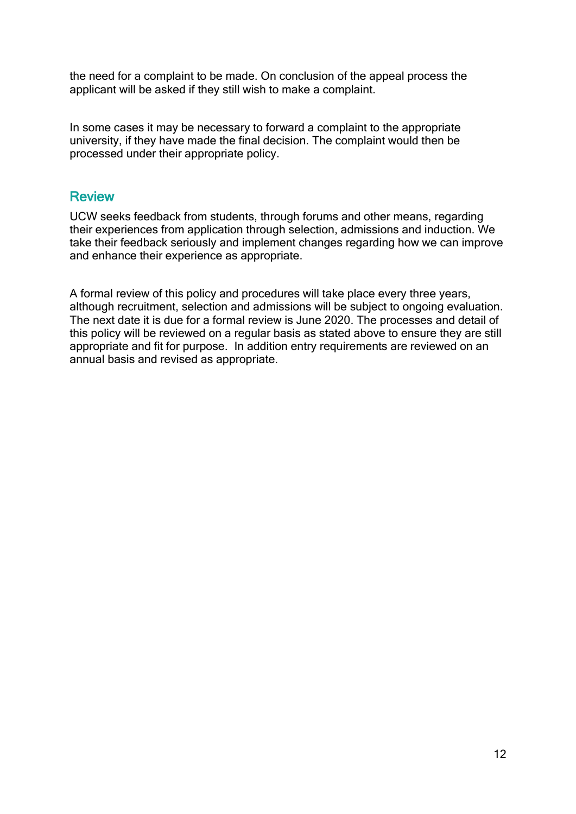the need for a complaint to be made. On conclusion of the appeal process the applicant will be asked if they still wish to make a complaint.

In some cases it may be necessary to forward a complaint to the appropriate university, if they have made the final decision. The complaint would then be processed under their appropriate policy.

## **Review**

UCW seeks feedback from students, through forums and other means, regarding their experiences from application through selection, admissions and induction. We take their feedback seriously and implement changes regarding how we can improve and enhance their experience as appropriate.

A formal review of this policy and procedures will take place every three years, although recruitment, selection and admissions will be subject to ongoing evaluation. The next date it is due for a formal review is June 2020. The processes and detail of this policy will be reviewed on a regular basis as stated above to ensure they are still appropriate and fit for purpose. In addition entry requirements are reviewed on an annual basis and revised as appropriate.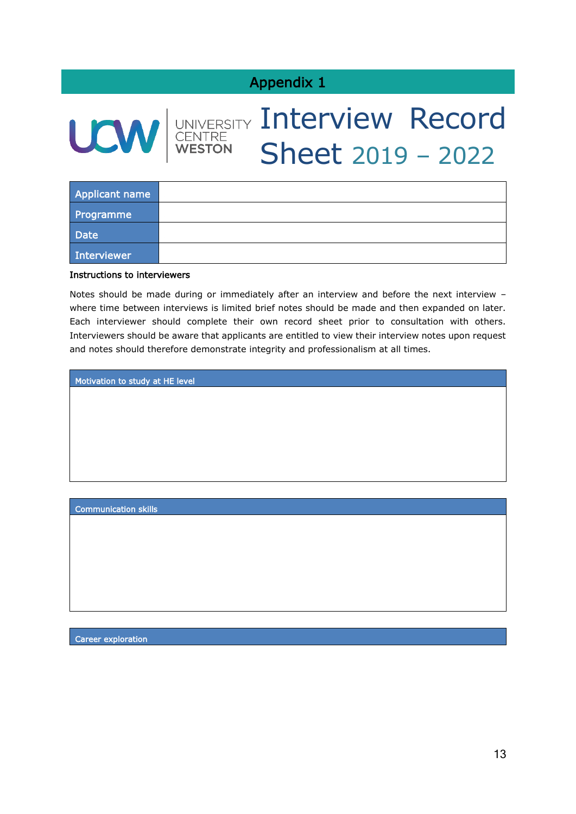## Appendix 1



# UNIVERSITY Interview Record Sheet 2019 – 2022

| <b>Applicant name</b> |  |
|-----------------------|--|
| Programme             |  |
| <b>Date</b>           |  |
| Interviewer           |  |

#### Instructions to interviewers

Notes should be made during or immediately after an interview and before the next interview – where time between interviews is limited brief notes should be made and then expanded on later. Each interviewer should complete their own record sheet prior to consultation with others. Interviewers should be aware that applicants are entitled to view their interview notes upon request and notes should therefore demonstrate integrity and professionalism at all times.

Motivation to study at HE level

Communication skills

Career exploration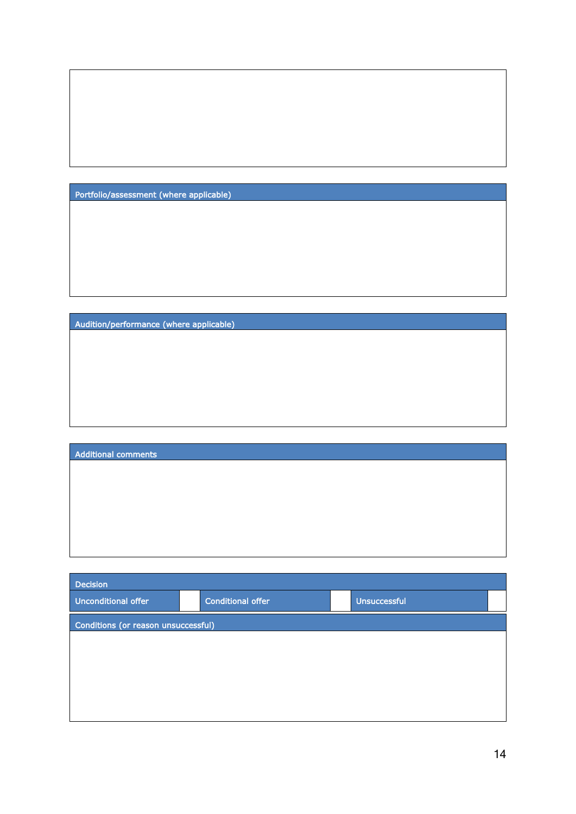Portfolio/assessment (where applicable)

Audition/performance (where applicable)

| <b>Additional comments</b> |  |  |
|----------------------------|--|--|
|                            |  |  |
|                            |  |  |
|                            |  |  |
|                            |  |  |
|                            |  |  |
|                            |  |  |

| <b>Decision</b>                     |                          |                     |  |
|-------------------------------------|--------------------------|---------------------|--|
| <b>Unconditional offer</b>          | <b>Conditional offer</b> | <b>Unsuccessful</b> |  |
| Conditions (or reason unsuccessful) |                          |                     |  |
|                                     |                          |                     |  |
|                                     |                          |                     |  |
|                                     |                          |                     |  |
|                                     |                          |                     |  |
|                                     |                          |                     |  |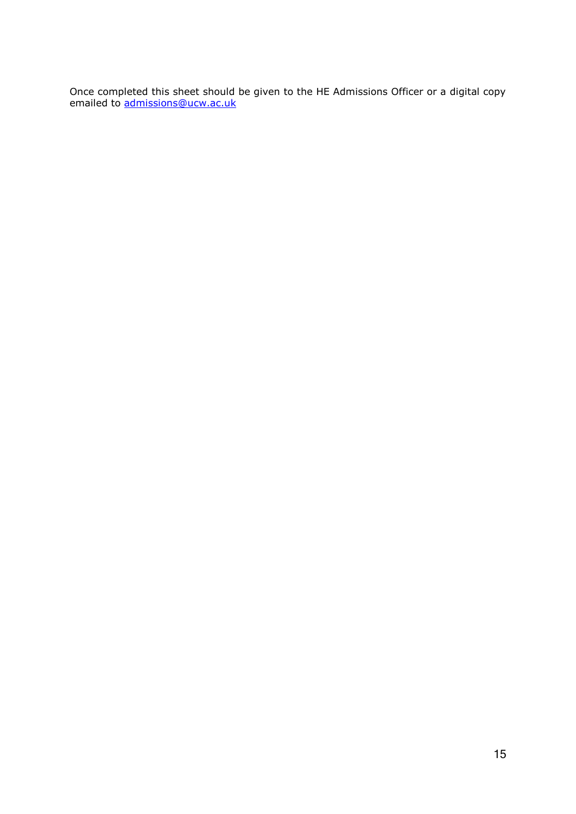Once completed this sheet should be given to the HE Admissions Officer or a digital copy emailed to [admissions@ucw.ac.uk](mailto:admissions@ucw.ac.uk)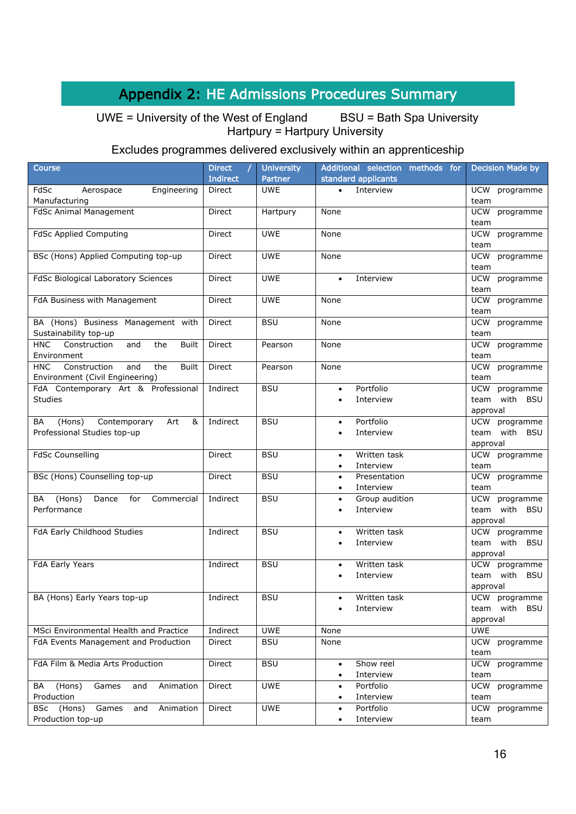## Appendix 2: HE Admissions Procedures Summary

UWE = University of the West of England BSU = Bath Spa University Hartpury = Hartpury University

## Excludes programmes delivered exclusively within an apprenticeship

| <b>Course</b>                                                                               | <b>Direct</b>   | <b>University</b> | Additional selection methods for                    | <b>Decision Made by</b>         |
|---------------------------------------------------------------------------------------------|-----------------|-------------------|-----------------------------------------------------|---------------------------------|
|                                                                                             | <b>Indirect</b> | Partner           | standard applicants                                 |                                 |
| FdSc<br>Engineering<br>Aerospace<br>Manufacturing                                           | Direct          | <b>UWE</b>        | Interview<br>$\bullet$                              | UCW<br>programme<br>team        |
| <b>FdSc Animal Management</b>                                                               | <b>Direct</b>   | Hartpury          | None                                                | <b>UCW</b><br>programme<br>team |
| <b>FdSc Applied Computing</b>                                                               | Direct          | <b>UWE</b>        | None                                                | <b>UCW</b><br>programme<br>team |
| BSc (Hons) Applied Computing top-up                                                         | Direct          | <b>UWE</b>        | None                                                | <b>UCW</b><br>programme<br>team |
| FdSc Biological Laboratory Sciences                                                         | Direct          | <b>UWE</b>        | Interview<br>$\bullet$                              | programme<br>UCW<br>team        |
| FdA Business with Management                                                                | Direct          | <b>UWE</b>        | None                                                | <b>UCW</b><br>programme<br>team |
| BA (Hons) Business Management with<br>Sustainability top-up                                 | Direct          | <b>BSU</b>        | None                                                | programme<br><b>UCW</b><br>team |
| <b>HNC</b><br>Construction<br>and<br>the<br><b>Built</b>                                    | Direct          | Pearson           | None                                                | <b>UCW</b><br>programme         |
| Environment                                                                                 |                 |                   |                                                     | team                            |
| <b>HNC</b><br>Construction<br>and<br>the<br><b>Built</b><br>Environment (Civil Engineering) | Direct          | Pearson           | None                                                | <b>UCW</b><br>programme<br>team |
| FdA Contemporary Art & Professional                                                         | Indirect        | <b>BSU</b>        | Portfolio<br>$\bullet$                              | UCW<br>programme                |
| <b>Studies</b>                                                                              |                 |                   | Interview<br>$\bullet$                              | team with BSU<br>approval       |
| Contemporary<br>&<br>(Hons)<br>Art<br>BA                                                    | Indirect        | <b>BSU</b>        | Portfolio<br>$\bullet$                              | UCW programme                   |
| Professional Studies top-up                                                                 |                 |                   | Interview<br>٠                                      | team with BSU<br>approval       |
| <b>FdSc Counselling</b>                                                                     | Direct          | <b>BSU</b>        | Written task<br>$\bullet$<br>Interview<br>$\bullet$ | <b>UCW</b><br>programme<br>team |
| BSc (Hons) Counselling top-up                                                               | Direct          | <b>BSU</b>        | Presentation<br>$\bullet$<br>Interview              | <b>UCW</b><br>programme<br>team |
| (Hons)<br>Dance<br>for<br>Commercial<br>BA                                                  | Indirect        | <b>BSU</b>        | $\bullet$<br>Group audition<br>$\bullet$            | programme<br>UCW                |
| Performance                                                                                 |                 |                   | Interview<br>$\bullet$                              | with BSU<br>team<br>approval    |
| FdA Early Childhood Studies                                                                 | Indirect        | <b>BSU</b>        | Written task<br>$\bullet$                           | UCW programme                   |
|                                                                                             |                 |                   | Interview<br>$\bullet$                              | team with BSU<br>approval       |
| FdA Early Years                                                                             | Indirect        | <b>BSU</b>        | Written task<br>$\bullet$                           | <b>UCW</b><br>programme         |
|                                                                                             |                 |                   | Interview<br>$\bullet$                              | team with BSU<br>approval       |
| BA (Hons) Early Years top-up                                                                | Indirect        | <b>BSU</b>        | Written task<br>$\bullet$                           | UCW programme                   |
|                                                                                             |                 |                   | Interview<br>$\bullet$                              | with<br>BSU<br>team             |
| MSci Environmental Health and Practice                                                      | Indirect        | <b>UWE</b>        | None                                                | approval<br>UWE                 |
| FdA Events Management and Production                                                        | Direct          | <b>BSU</b>        | None                                                | <b>UCW</b><br>programme         |
|                                                                                             |                 |                   |                                                     | team                            |
| FdA Film & Media Arts Production                                                            | Direct          | <b>BSU</b>        | Show reel<br>$\bullet$<br>Interview                 | <b>UCW</b><br>programme         |
| (Hons)<br>Games<br>Animation<br>BA<br>and                                                   | Direct          | <b>UWE</b>        | $\bullet$<br>Portfolio<br>$\bullet$                 | team<br><b>UCW</b><br>programme |
| Production                                                                                  |                 |                   | Interview<br>$\bullet$                              | team                            |
| (Hons)<br>Animation<br>BSc<br>Games<br>and                                                  | Direct          | UWE               | Portfolio<br>$\bullet$                              | <b>UCW</b><br>programme         |
| Production top-up                                                                           |                 |                   | Interview<br>$\bullet$                              | team                            |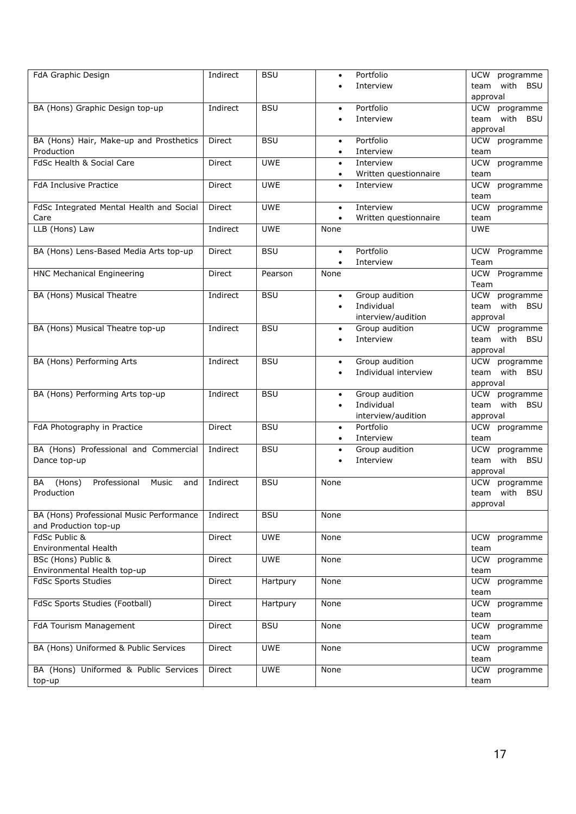| FdA Graphic Design                           | Indirect      | <b>BSU</b> | $\bullet$ | Portfolio             | UCW<br>programme           |
|----------------------------------------------|---------------|------------|-----------|-----------------------|----------------------------|
|                                              |               |            |           | Interview             | with<br><b>BSU</b><br>team |
|                                              |               |            |           |                       | approval                   |
| BA (Hons) Graphic Design top-up              | Indirect      | <b>BSU</b> | $\bullet$ | Portfolio             | UCW programme              |
|                                              |               |            |           | Interview             | team with BSU              |
|                                              |               |            |           |                       | approval                   |
| BA (Hons) Hair, Make-up and Prosthetics      | <b>Direct</b> | <b>BSU</b> | $\bullet$ | Portfolio             | <b>UCW</b><br>programme    |
| Production                                   |               |            | $\bullet$ | Interview             | team                       |
| FdSc Health & Social Care                    | Direct        | <b>UWE</b> | $\bullet$ | Interview             | UCW<br>programme           |
|                                              |               |            |           | Written questionnaire | team                       |
| <b>FdA Inclusive Practice</b>                | Direct        | <b>UWE</b> |           | Interview             | UCW<br>programme           |
|                                              |               |            | $\bullet$ |                       |                            |
| FdSc Integrated Mental Health and Social     | Direct        | <b>UWE</b> |           | Interview             | team<br>UCW                |
|                                              |               |            | $\bullet$ |                       | programme                  |
| Care                                         |               |            | $\bullet$ | Written questionnaire | team                       |
| LLB (Hons) Law                               | Indirect      | <b>UWE</b> | None      |                       | <b>UWE</b>                 |
|                                              |               |            |           |                       |                            |
| BA (Hons) Lens-Based Media Arts top-up       | Direct        | <b>BSU</b> | $\bullet$ | Portfolio             | UCW Programme              |
|                                              |               |            | $\bullet$ | Interview             | Team                       |
| HNC Mechanical Engineering                   | Direct        | Pearson    | None      |                       | UCW Programme              |
|                                              |               |            |           |                       | Team                       |
| <b>BA (Hons) Musical Theatre</b>             | Indirect      | <b>BSU</b> | $\bullet$ | Group audition        | UCW<br>programme           |
|                                              |               |            | $\bullet$ | Individual            | team with BSU              |
|                                              |               |            |           | interview/audition    | approval                   |
| BA (Hons) Musical Theatre top-up             | Indirect      | <b>BSU</b> | $\bullet$ | Group audition        | UCW programme              |
|                                              |               |            | $\bullet$ | Interview             | team with BSU              |
|                                              |               |            |           |                       | approval                   |
| BA (Hons) Performing Arts                    | Indirect      | <b>BSU</b> | $\bullet$ | Group audition        | UCW programme              |
|                                              |               |            |           | Individual interview  | team with BSU              |
|                                              |               |            |           |                       | approval                   |
| BA (Hons) Performing Arts top-up             | Indirect      | <b>BSU</b> | $\bullet$ | Group audition        | <b>UCW</b><br>programme    |
|                                              |               |            | $\bullet$ | Individual            | with<br>team<br><b>BSU</b> |
|                                              |               |            |           | interview/audition    | approval                   |
| FdA Photography in Practice                  | Direct        | <b>BSU</b> | $\bullet$ | Portfolio             | UCW programme              |
|                                              |               |            | $\bullet$ | Interview             | team                       |
| BA (Hons) Professional and Commercial        | Indirect      | <b>BSU</b> | $\bullet$ | Group audition        | <b>UCW</b><br>programme    |
| Dance top-up                                 |               |            | $\bullet$ | Interview             | team with BSU              |
|                                              |               |            |           |                       | approval                   |
| (Hons)<br>Professional<br>Music<br>BA<br>and | Indirect      | <b>BSU</b> | None      |                       | <b>UCW</b><br>programme    |
| Production                                   |               |            |           |                       | team with BSU              |
|                                              |               |            |           |                       |                            |
|                                              |               |            |           |                       | approval                   |
| BA (Hons) Professional Music Performance     | Indirect      | <b>BSU</b> | None      |                       |                            |
| and Production top-up                        |               |            |           |                       |                            |
| FdSc Public &                                | Direct        | <b>UWE</b> | None      |                       | <b>UCW</b><br>programme    |
| Environmental Health                         |               |            |           |                       | team                       |
| BSc (Hons) Public &                          | Direct        | <b>UWE</b> | None      |                       | <b>UCW</b><br>programme    |
| Environmental Health top-up                  |               |            |           |                       | team                       |
| <b>FdSc Sports Studies</b>                   | Direct        | Hartpury   | None      |                       | UCW<br>programme           |
|                                              |               |            |           |                       | team                       |
| FdSc Sports Studies (Football)               | Direct        | Hartpury   | None      |                       | <b>UCW</b><br>programme    |
|                                              |               |            |           |                       | team                       |
| <b>FdA Tourism Management</b>                | Direct        | <b>BSU</b> | None      |                       | <b>UCW</b><br>programme    |
|                                              |               |            |           |                       | team                       |
| BA (Hons) Uniformed & Public Services        | Direct        | <b>UWE</b> | None      |                       | <b>UCW</b><br>programme    |
|                                              |               |            |           |                       | team                       |
| BA (Hons) Uniformed & Public Services        | Direct        | <b>UWE</b> | None      |                       | <b>UCW</b><br>programme    |
| top-up                                       |               |            |           |                       | team                       |
|                                              |               |            |           |                       |                            |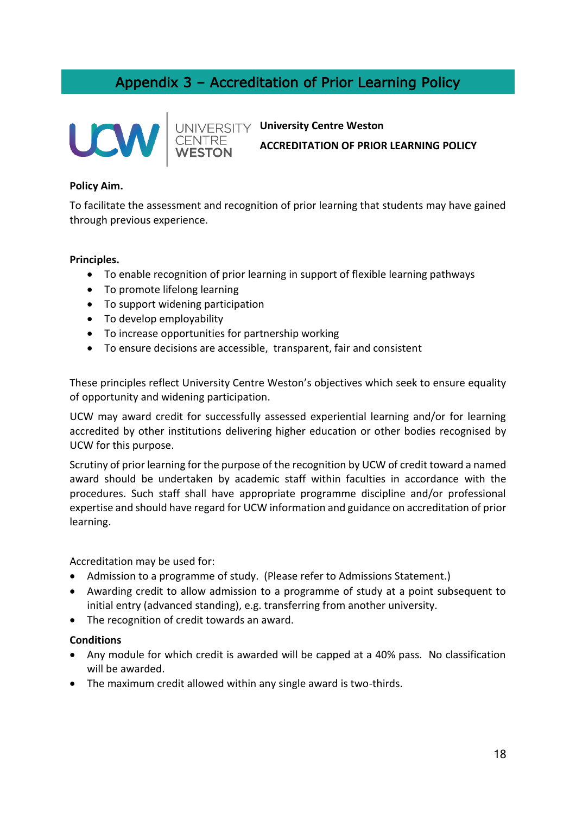## Appendix 3 – Accreditation of Prior Learning Policy





## **University Centre Weston ACCREDITATION OF PRIOR LEARNING POLICY**

### **Policy Aim.**

To facilitate the assessment and recognition of prior learning that students may have gained through previous experience.

### **Principles.**

- To enable recognition of prior learning in support of flexible learning pathways
- To promote lifelong learning
- To support widening participation
- To develop employability
- To increase opportunities for partnership working
- To ensure decisions are accessible, transparent, fair and consistent

These principles reflect University Centre Weston's objectives which seek to ensure equality of opportunity and widening participation.

UCW may award credit for successfully assessed experiential learning and/or for learning accredited by other institutions delivering higher education or other bodies recognised by UCW for this purpose.

Scrutiny of prior learning for the purpose of the recognition by UCW of credit toward a named award should be undertaken by academic staff within faculties in accordance with the procedures. Such staff shall have appropriate programme discipline and/or professional expertise and should have regard for UCW information and guidance on accreditation of prior learning.

Accreditation may be used for:

- Admission to a programme of study. (Please refer to Admissions Statement.)
- Awarding credit to allow admission to a programme of study at a point subsequent to initial entry (advanced standing), e.g. transferring from another university.
- The recognition of credit towards an award.

### **Conditions**

- Any module for which credit is awarded will be capped at a 40% pass. No classification will be awarded.
- The maximum credit allowed within any single award is two-thirds.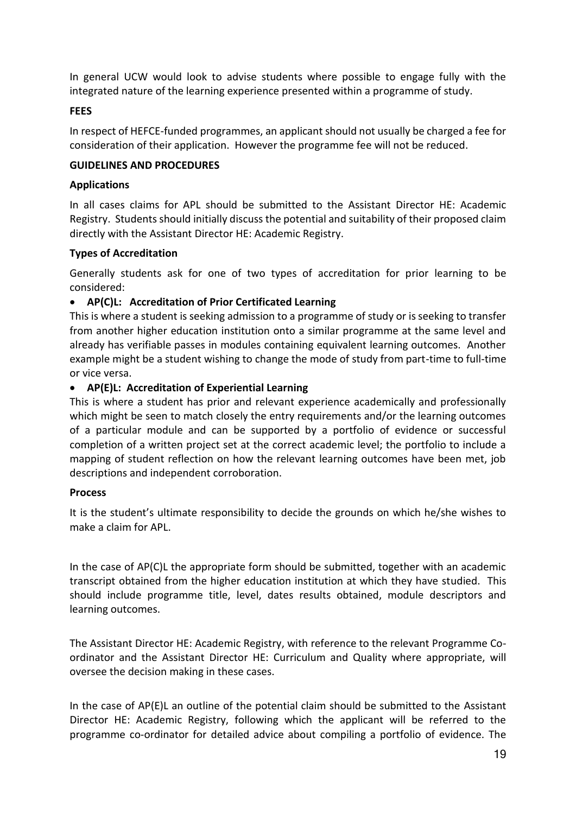In general UCW would look to advise students where possible to engage fully with the integrated nature of the learning experience presented within a programme of study.

### **FEES**

In respect of HEFCE-funded programmes, an applicant should not usually be charged a fee for consideration of their application. However the programme fee will not be reduced.

### **GUIDELINES AND PROCEDURES**

### **Applications**

In all cases claims for APL should be submitted to the Assistant Director HE: Academic Registry. Students should initially discuss the potential and suitability of their proposed claim directly with the Assistant Director HE: Academic Registry.

### **Types of Accreditation**

Generally students ask for one of two types of accreditation for prior learning to be considered:

### • **AP(C)L: Accreditation of Prior Certificated Learning**

This is where a student is seeking admission to a programme of study or is seeking to transfer from another higher education institution onto a similar programme at the same level and already has verifiable passes in modules containing equivalent learning outcomes. Another example might be a student wishing to change the mode of study from part-time to full-time or vice versa.

### • **AP(E)L: Accreditation of Experiential Learning**

This is where a student has prior and relevant experience academically and professionally which might be seen to match closely the entry requirements and/or the learning outcomes of a particular module and can be supported by a portfolio of evidence or successful completion of a written project set at the correct academic level; the portfolio to include a mapping of student reflection on how the relevant learning outcomes have been met, job descriptions and independent corroboration.

### **Process**

It is the student's ultimate responsibility to decide the grounds on which he/she wishes to make a claim for APL.

In the case of AP(C)L the appropriate form should be submitted, together with an academic transcript obtained from the higher education institution at which they have studied. This should include programme title, level, dates results obtained, module descriptors and learning outcomes.

The Assistant Director HE: Academic Registry, with reference to the relevant Programme Coordinator and the Assistant Director HE: Curriculum and Quality where appropriate, will oversee the decision making in these cases.

In the case of AP(E)L an outline of the potential claim should be submitted to the Assistant Director HE: Academic Registry, following which the applicant will be referred to the programme co-ordinator for detailed advice about compiling a portfolio of evidence. The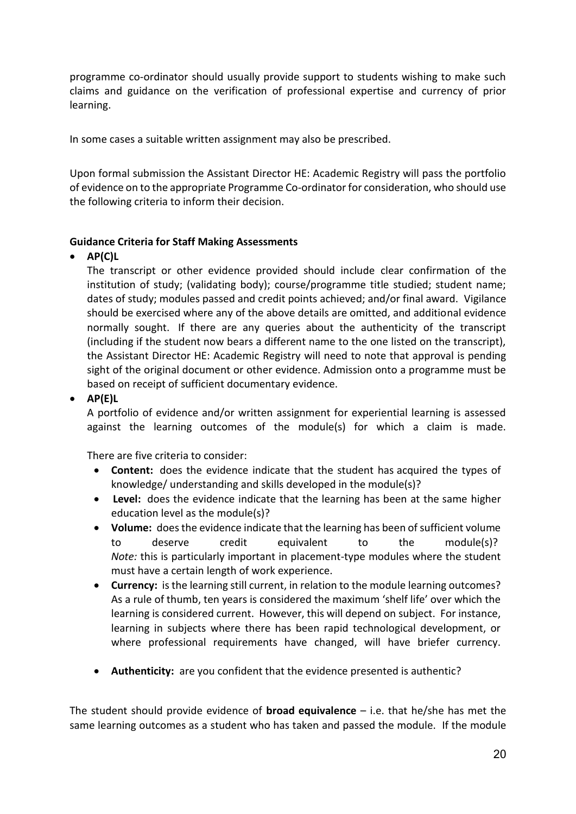programme co-ordinator should usually provide support to students wishing to make such claims and guidance on the verification of professional expertise and currency of prior learning.

In some cases a suitable written assignment may also be prescribed.

Upon formal submission the Assistant Director HE: Academic Registry will pass the portfolio of evidence on to the appropriate Programme Co-ordinator for consideration, who should use the following criteria to inform their decision.

### **Guidance Criteria for Staff Making Assessments**

### • **AP(C)L**

The transcript or other evidence provided should include clear confirmation of the institution of study; (validating body); course/programme title studied; student name; dates of study; modules passed and credit points achieved; and/or final award. Vigilance should be exercised where any of the above details are omitted, and additional evidence normally sought. If there are any queries about the authenticity of the transcript (including if the student now bears a different name to the one listed on the transcript), the Assistant Director HE: Academic Registry will need to note that approval is pending sight of the original document or other evidence. Admission onto a programme must be based on receipt of sufficient documentary evidence.

### • **AP(E)L**

A portfolio of evidence and/or written assignment for experiential learning is assessed against the learning outcomes of the module(s) for which a claim is made.

There are five criteria to consider:

- **Content:** does the evidence indicate that the student has acquired the types of knowledge/ understanding and skills developed in the module(s)?
- **Level:** does the evidence indicate that the learning has been at the same higher education level as the module(s)?
- **Volume:** does the evidence indicate that the learning has been of sufficient volume to deserve credit equivalent to the module(s)? *Note:* this is particularly important in placement-type modules where the student must have a certain length of work experience.
- **Currency:** is the learning still current, in relation to the module learning outcomes? As a rule of thumb, ten years is considered the maximum 'shelf life' over which the learning is considered current. However, this will depend on subject. For instance, learning in subjects where there has been rapid technological development, or where professional requirements have changed, will have briefer currency.
- **Authenticity:** are you confident that the evidence presented is authentic?

The student should provide evidence of **broad equivalence** – i.e. that he/she has met the same learning outcomes as a student who has taken and passed the module. If the module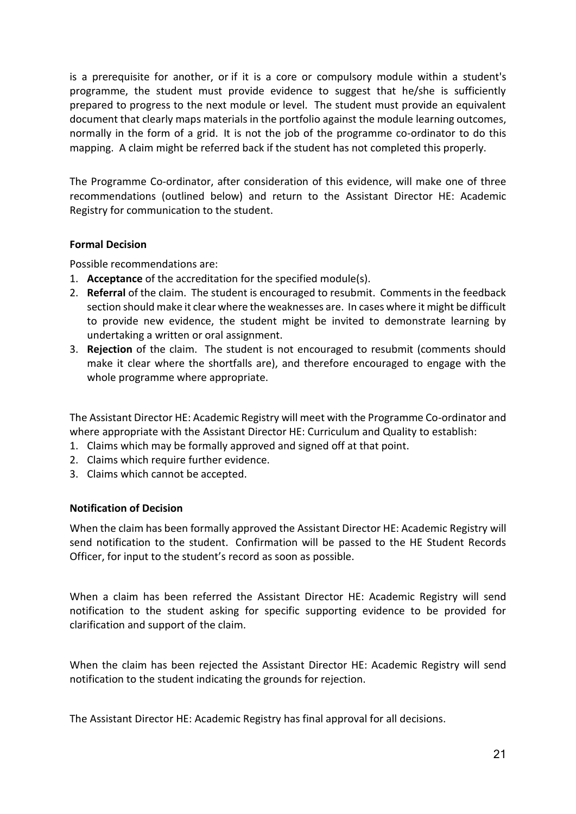is a prerequisite for another, or if it is a core or compulsory module within a student's programme, the student must provide evidence to suggest that he/she is sufficiently prepared to progress to the next module or level. The student must provide an equivalent document that clearly maps materials in the portfolio against the module learning outcomes, normally in the form of a grid. It is not the job of the programme co-ordinator to do this mapping. A claim might be referred back if the student has not completed this properly.

The Programme Co-ordinator, after consideration of this evidence, will make one of three recommendations (outlined below) and return to the Assistant Director HE: Academic Registry for communication to the student.

### **Formal Decision**

Possible recommendations are:

- 1. **Acceptance** of the accreditation for the specified module(s).
- 2. **Referral** of the claim. The student is encouraged to resubmit. Comments in the feedback section should make it clear where the weaknesses are. In cases where it might be difficult to provide new evidence, the student might be invited to demonstrate learning by undertaking a written or oral assignment.
- 3. **Rejection** of the claim. The student is not encouraged to resubmit (comments should make it clear where the shortfalls are), and therefore encouraged to engage with the whole programme where appropriate.

The Assistant Director HE: Academic Registry will meet with the Programme Co-ordinator and where appropriate with the Assistant Director HE: Curriculum and Quality to establish:

- 1. Claims which may be formally approved and signed off at that point.
- 2. Claims which require further evidence.
- 3. Claims which cannot be accepted.

### **Notification of Decision**

When the claim has been formally approved the Assistant Director HE: Academic Registry will send notification to the student. Confirmation will be passed to the HE Student Records Officer, for input to the student's record as soon as possible.

When a claim has been referred the Assistant Director HE: Academic Registry will send notification to the student asking for specific supporting evidence to be provided for clarification and support of the claim.

When the claim has been rejected the Assistant Director HE: Academic Registry will send notification to the student indicating the grounds for rejection.

The Assistant Director HE: Academic Registry has final approval for all decisions.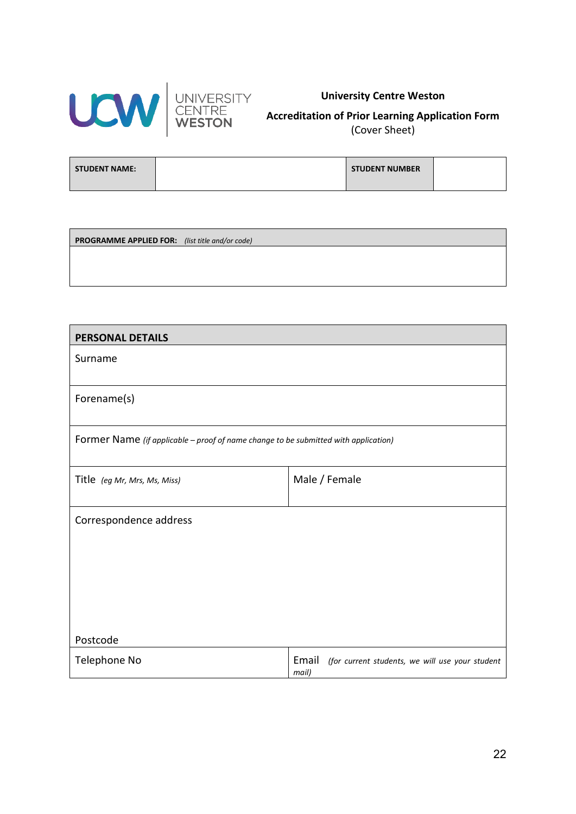



### **University Centre Weston**

**Accreditation of Prior Learning Application Form**  (Cover Sheet)

| <b>STUDENT NAME:</b> | <b>STUDENT NUMBER</b> |  |
|----------------------|-----------------------|--|
|                      |                       |  |

**PROGRAMME APPLIED FOR:** *(list title and/or code)*

| <b>PERSONAL DETAILS</b>                                                             |                                                                   |
|-------------------------------------------------------------------------------------|-------------------------------------------------------------------|
| Surname                                                                             |                                                                   |
| Forename(s)                                                                         |                                                                   |
| Former Name (if applicable - proof of name change to be submitted with application) |                                                                   |
| Title (eg Mr, Mrs, Ms, Miss)                                                        | Male / Female                                                     |
| Correspondence address                                                              |                                                                   |
| Postcode                                                                            |                                                                   |
| Telephone No                                                                        | Email<br>(for current students, we will use your student<br>mail) |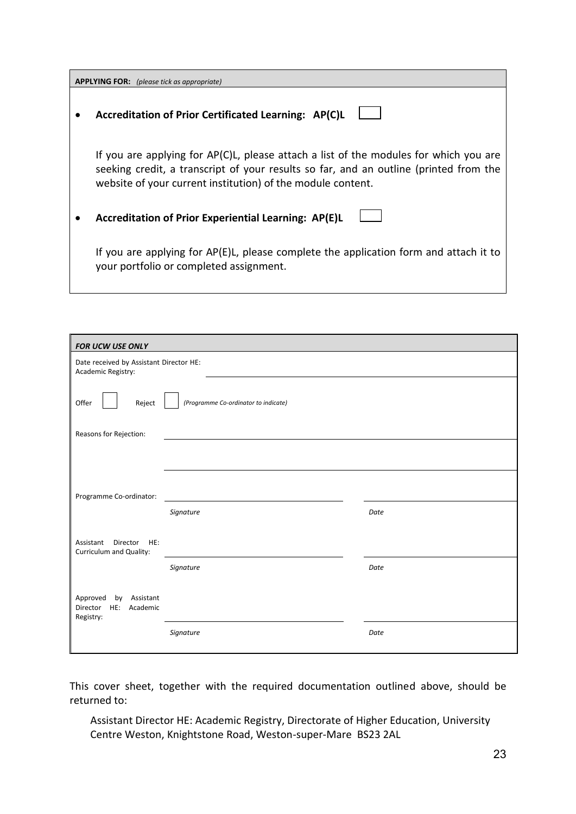| <b>APPLYING FOR:</b> (please tick as appropriate)                                                                                                                                                                                             |  |  |  |
|-----------------------------------------------------------------------------------------------------------------------------------------------------------------------------------------------------------------------------------------------|--|--|--|
| Accreditation of Prior Certificated Learning: AP(C)L                                                                                                                                                                                          |  |  |  |
| If you are applying for AP(C)L, please attach a list of the modules for which you are<br>seeking credit, a transcript of your results so far, and an outline (printed from the<br>website of your current institution) of the module content. |  |  |  |
| Accreditation of Prior Experiential Learning: AP(E)L                                                                                                                                                                                          |  |  |  |
| If you are applying for AP(E)L, please complete the application form and attach it to<br>your portfolio or completed assignment.                                                                                                              |  |  |  |

| FOR UCW USE ONLY                                                  |           |      |  |  |
|-------------------------------------------------------------------|-----------|------|--|--|
| Date received by Assistant Director HE:<br>Academic Registry:     |           |      |  |  |
| (Programme Co-ordinator to indicate)<br>Offer<br>Reject           |           |      |  |  |
| Reasons for Rejection:                                            |           |      |  |  |
|                                                                   |           |      |  |  |
|                                                                   |           |      |  |  |
| Programme Co-ordinator:                                           |           |      |  |  |
|                                                                   | Signature | Date |  |  |
| Assistant Director<br>HE:<br>Curriculum and Quality:              |           |      |  |  |
|                                                                   | Signature | Date |  |  |
| Approved<br>by Assistant<br>Director<br>HE: Academic<br>Registry: |           |      |  |  |
|                                                                   | Signature | Date |  |  |

This cover sheet, together with the required documentation outlined above, should be returned to:

Assistant Director HE: Academic Registry, Directorate of Higher Education, University Centre Weston, Knightstone Road, Weston-super-Mare BS23 2AL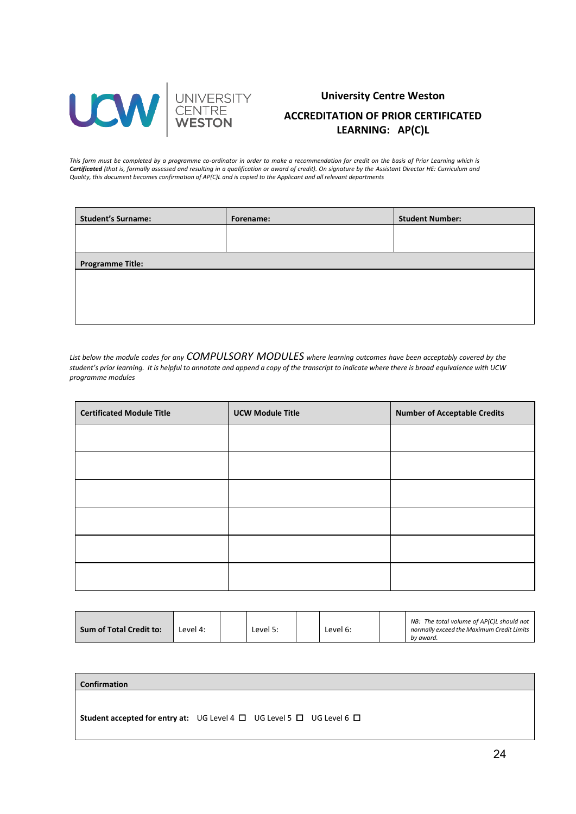

## **University Centre Weston ACCREDITATION OF PRIOR CERTIFICATED LEARNING: AP(C)L**

*This form must be completed by a programme co-ordinator in order to make a recommendation for credit on the basis of Prior Learning which is Certificated (that is, formally assessed and resulting in a qualification or award of credit). On signature by the Assistant Director HE: Curriculum and Quality, this document becomes confirmation of AP(C)L and is copied to the Applicant and all relevant departments*

| <b>Student's Surname:</b> | Forename: | <b>Student Number:</b> |
|---------------------------|-----------|------------------------|
|                           |           |                        |
|                           |           |                        |
| <b>Programme Title:</b>   |           |                        |
|                           |           |                        |
|                           |           |                        |
|                           |           |                        |

*List below the module codes for any COMPULSORY MODULES where learning outcomes have been acceptably covered by the student's prior learning. It is helpful to annotate and append a copy of the transcript to indicate where there is broad equivalence with UCW programme modules*

| <b>Certificated Module Title</b> | <b>UCW Module Title</b> | <b>Number of Acceptable Credits</b> |
|----------------------------------|-------------------------|-------------------------------------|
|                                  |                         |                                     |
|                                  |                         |                                     |
|                                  |                         |                                     |
|                                  |                         |                                     |
|                                  |                         |                                     |
|                                  |                         |                                     |

**Confirmation Student accepted for entry at:** UG Level 4 **□** UG Level 5 **□** UG Level 6 **□**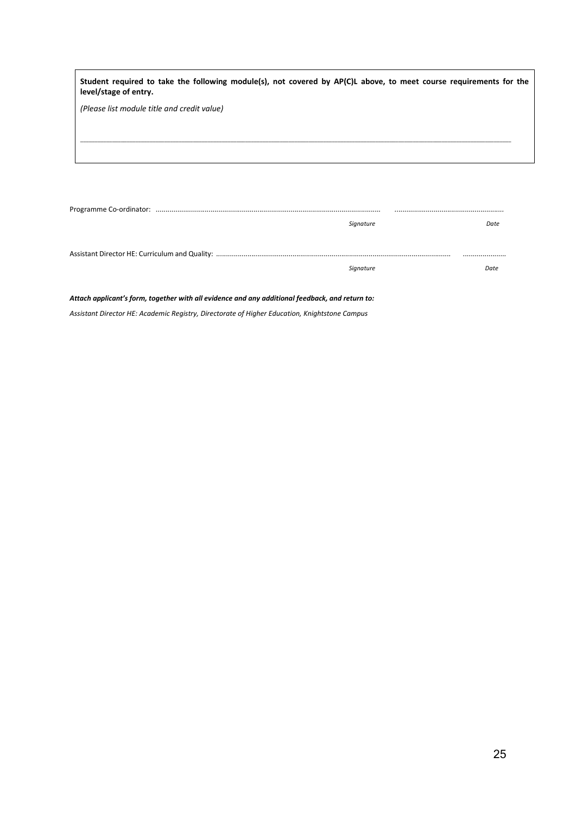| Student required to take the following module(s), not covered by AP(C)L above, to meet course requirements for the<br>level/stage of entry. |  |
|---------------------------------------------------------------------------------------------------------------------------------------------|--|
| (Please list module title and credit value)                                                                                                 |  |
|                                                                                                                                             |  |
|                                                                                                                                             |  |
|                                                                                                                                             |  |

| Signature | Date |
|-----------|------|
|           |      |
|           |      |
| Signature | Date |

*Attach applicant's form, together with all evidence and any additional feedback, and return to:*

*Assistant Director HE: Academic Registry, Directorate of Higher Education, Knightstone Campus*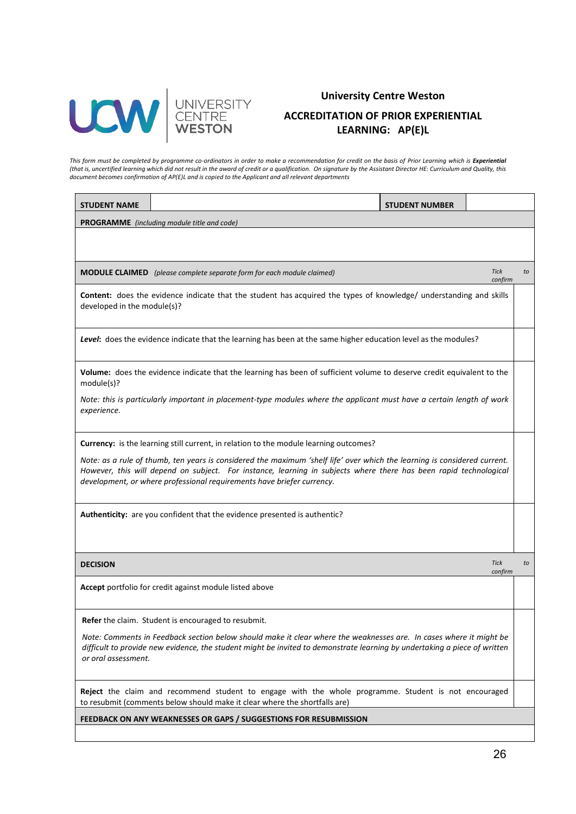

## **University Centre Weston ACCREDITATION OF PRIOR EXPERIENTIAL LEARNING: AP(E)L**

This form must be completed by programme co-ordinators in order to make a recommendation for credit on the basis of Prior Learning which is **Experientia**l *(that is, uncertified learning which did not result in the award of credit or a qualification. On signature by the Assistant Director HE: Curriculum and Quality, this document becomes confirmation of AP(E)L and is copied to the Applicant and all relevant departments*

| <b>STUDENT NAME</b>                                                                                                                                                                                                                                                                                                      |                                                                                                                                                   | <b>STUDENT NUMBER</b> |                              |  |  |
|--------------------------------------------------------------------------------------------------------------------------------------------------------------------------------------------------------------------------------------------------------------------------------------------------------------------------|---------------------------------------------------------------------------------------------------------------------------------------------------|-----------------------|------------------------------|--|--|
|                                                                                                                                                                                                                                                                                                                          | <b>PROGRAMME</b> (including module title and code)                                                                                                |                       |                              |  |  |
|                                                                                                                                                                                                                                                                                                                          |                                                                                                                                                   |                       |                              |  |  |
|                                                                                                                                                                                                                                                                                                                          | <b>MODULE CLAIMED</b> (please complete separate form for each module claimed)                                                                     |                       | <b>Tick</b><br>to<br>confirm |  |  |
|                                                                                                                                                                                                                                                                                                                          | Content: does the evidence indicate that the student has acquired the types of knowledge/ understanding and skills<br>developed in the module(s)? |                       |                              |  |  |
|                                                                                                                                                                                                                                                                                                                          | Level: does the evidence indicate that the learning has been at the same higher education level as the modules?                                   |                       |                              |  |  |
| module(s)?                                                                                                                                                                                                                                                                                                               | Volume: does the evidence indicate that the learning has been of sufficient volume to deserve credit equivalent to the                            |                       |                              |  |  |
| Note: this is particularly important in placement-type modules where the applicant must have a certain length of work<br>experience.                                                                                                                                                                                     |                                                                                                                                                   |                       |                              |  |  |
|                                                                                                                                                                                                                                                                                                                          | Currency: is the learning still current, in relation to the module learning outcomes?                                                             |                       |                              |  |  |
| Note: as a rule of thumb, ten years is considered the maximum 'shelf life' over which the learning is considered current.<br>However, this will depend on subject. For instance, learning in subjects where there has been rapid technological<br>development, or where professional requirements have briefer currency. |                                                                                                                                                   |                       |                              |  |  |
| Authenticity: are you confident that the evidence presented is authentic?                                                                                                                                                                                                                                                |                                                                                                                                                   |                       |                              |  |  |
| <b>DECISION</b>                                                                                                                                                                                                                                                                                                          |                                                                                                                                                   |                       | <b>Tick</b><br>to<br>confirm |  |  |
|                                                                                                                                                                                                                                                                                                                          | Accept portfolio for credit against module listed above                                                                                           |                       |                              |  |  |
|                                                                                                                                                                                                                                                                                                                          | <b>Refer</b> the claim. Student is encouraged to resubmit.                                                                                        |                       |                              |  |  |
| Note: Comments in Feedback section below should make it clear where the weaknesses are. In cases where it might be<br>difficult to provide new evidence, the student might be invited to demonstrate learning by undertaking a piece of written<br>or oral assessment.                                                   |                                                                                                                                                   |                       |                              |  |  |
| Reject the claim and recommend student to engage with the whole programme. Student is not encouraged<br>to resubmit (comments below should make it clear where the shortfalls are)                                                                                                                                       |                                                                                                                                                   |                       |                              |  |  |
| FEEDBACK ON ANY WEAKNESSES OR GAPS / SUGGESTIONS FOR RESUBMISSION                                                                                                                                                                                                                                                        |                                                                                                                                                   |                       |                              |  |  |